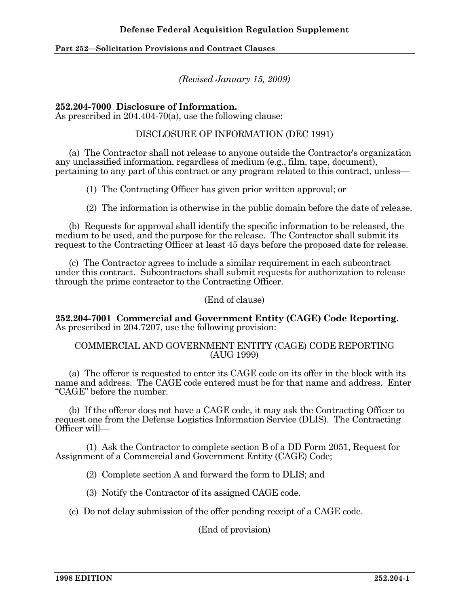*(Revised January 15, 2009)* 

## **252.204-7000 Disclosure of Information.**

As prescribed in 204.404-70(a), use the following clause:

# DISCLOSURE OF INFORMATION (DEC 1991)

 (a) The Contractor shall not release to anyone outside the Contractor's organization any unclassified information, regardless of medium (e.g., film, tape, document), pertaining to any part of this contract or any program related to this contract, unless—

(1) The Contracting Officer has given prior written approval; or

(2) The information is otherwise in the public domain before the date of release.

 (b) Requests for approval shall identify the specific information to be released, the medium to be used, and the purpose for the release. The Contractor shall submit its request to the Contracting Officer at least 45 days before the proposed date for release.

 (c) The Contractor agrees to include a similar requirement in each subcontract under this contract. Subcontractors shall submit requests for authorization to release through the prime contractor to the Contracting Officer.

(End of clause)

**252.204-7001 Commercial and Government Entity (CAGE) Code Reporting.**  As prescribed in 204.7207, use the following provision:

## COMMERCIAL AND GOVERNMENT ENTITY (CAGE) CODE REPORTING (AUG 1999)

 (a) The offeror is requested to enter its CAGE code on its offer in the block with its name and address. The CAGE code entered must be for that name and address. Enter "CAGE" before the number.

 (b) If the offeror does not have a CAGE code, it may ask the Contracting Officer to request one from the Defense Logistics Information Service (DLIS). The Contracting Officer will—

 (1) Ask the Contractor to complete section B of a DD Form 2051, Request for Assignment of a Commercial and Government Entity (CAGE) Code;

(2) Complete section A and forward the form to DLIS; and

(3) Notify the Contractor of its assigned CAGE code.

(c) Do not delay submission of the offer pending receipt of a CAGE code.

(End of provision)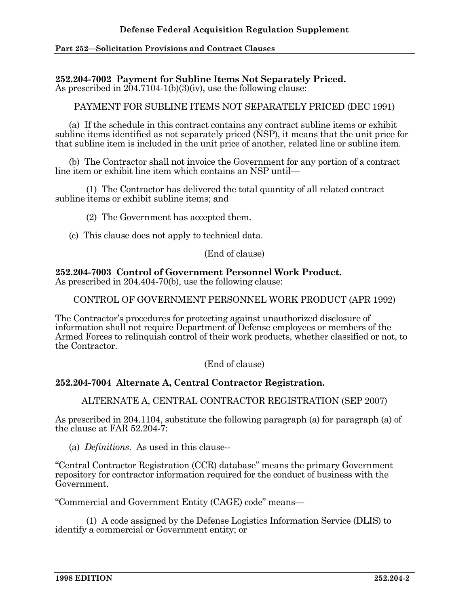## **252.204-7002 Payment for Subline Items Not Separately Priced.**

As prescribed in 204.7104-1(b)(3)(iv), use the following clause:

PAYMENT FOR SUBLINE ITEMS NOT SEPARATELY PRICED (DEC 1991)

 (a) If the schedule in this contract contains any contract subline items or exhibit subline items identified as not separately priced (NSP), it means that the unit price for that subline item is included in the unit price of another, related line or subline item.

 (b) The Contractor shall not invoice the Government for any portion of a contract line item or exhibit line item which contains an NSP until—

 (1) The Contractor has delivered the total quantity of all related contract subline items or exhibit subline items; and

(2) The Government has accepted them.

(c) This clause does not apply to technical data.

(End of clause)

#### **252.204-7003 Control of Government Personnel Work Product.**  As prescribed in 204.404-70(b), use the following clause:

CONTROL OF GOVERNMENT PERSONNEL WORK PRODUCT (APR 1992)

The Contractor's procedures for protecting against unauthorized disclosure of information shall not require Department of Defense employees or members of the Armed Forces to relinquish control of their work products, whether classified or not, to the Contractor.

(End of clause)

# **252.204-7004 Alternate A, Central Contractor Registration.**

ALTERNATE A, CENTRAL CONTRACTOR REGISTRATION (SEP 2007)

As prescribed in 204.1104, substitute the following paragraph (a) for paragraph (a) of the clause at FAR 52.204-7:

(a) *Definitions*. As used in this clause--

"Central Contractor Registration (CCR) database" means the primary Government repository for contractor information required for the conduct of business with the Government.

"Commercial and Government Entity (CAGE) code" means—

 (1) A code assigned by the Defense Logistics Information Service (DLIS) to identify a commercial or Government entity; or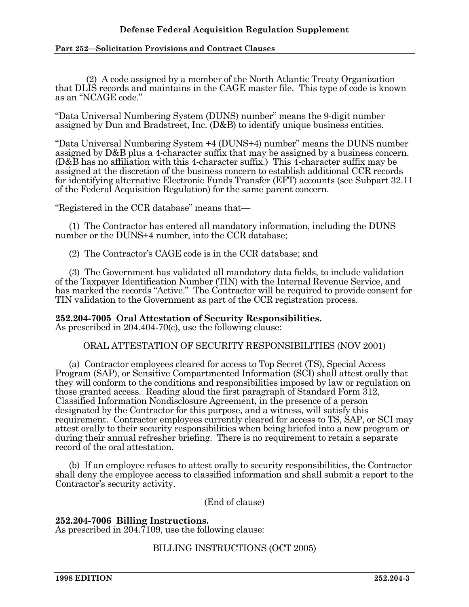# **Defense Federal Acquisition Regulation Supplement**

#### **Part 252—Solicitation Provisions and Contract Clauses**

 (2) A code assigned by a member of the North Atlantic Treaty Organization that DLIS records and maintains in the CAGE master file. This type of code is known as an "NCAGE code."

"Data Universal Numbering System (DUNS) number" means the 9-digit number assigned by Dun and Bradstreet, Inc. (D&B) to identify unique business entities.

"Data Universal Numbering System +4 (DUNS+4) number" means the DUNS number assigned by D&B plus a 4-character suffix that may be assigned by a business concern. (D&B has no affiliation with this 4-character suffix.) This 4-character suffix may be assigned at the discretion of the business concern to establish additional CCR records for identifying alternative Electronic Funds Transfer (EFT) accounts (see Subpart 32.11 of the Federal Acquisition Regulation) for the same parent concern.

"Registered in the CCR database" means that—

 (1) The Contractor has entered all mandatory information, including the DUNS number or the DUNS+4 number, into the CCR database;

(2) The Contractor's CAGE code is in the CCR database; and

 (3) The Government has validated all mandatory data fields, to include validation of the Taxpayer Identification Number (TIN) with the Internal Revenue Service, and has marked the records "Active." The Contractor will be required to provide consent for TIN validation to the Government as part of the CCR registration process.

**252.204-7005 Oral Attestation of Security Responsibilities.** 

As prescribed in 204.404-70(c), use the following clause:

ORAL ATTESTATION OF SECURITY RESPONSIBILITIES (NOV 2001)

 (a) Contractor employees cleared for access to Top Secret (TS), Special Access Program (SAP), or Sensitive Compartmented Information (SCI) shall attest orally that they will conform to the conditions and responsibilities imposed by law or regulation on those granted access. Reading aloud the first paragraph of Standard Form 312, Classified Information Nondisclosure Agreement, in the presence of a person designated by the Contractor for this purpose, and a witness, will satisfy this requirement. Contractor employees currently cleared for access to TS, SAP, or SCI may attest orally to their security responsibilities when being briefed into a new program or during their annual refresher briefing. There is no requirement to retain a separate record of the oral attestation.

 (b) If an employee refuses to attest orally to security responsibilities, the Contractor shall deny the employee access to classified information and shall submit a report to the Contractor's security activity.

(End of clause)

**252.204-7006 Billing Instructions.**  As prescribed in 204.7109, use the following clause:

BILLING INSTRUCTIONS (OCT 2005)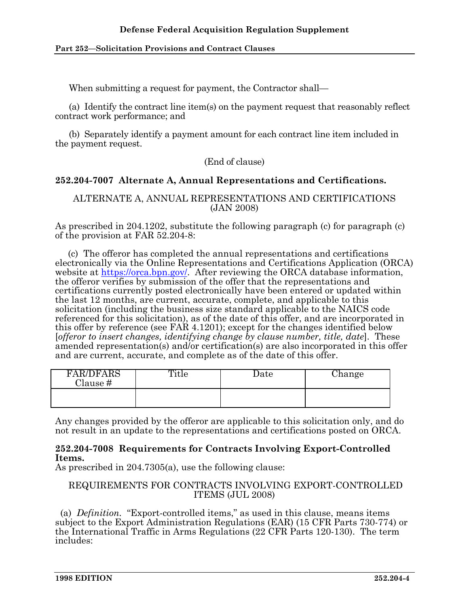When submitting a request for payment, the Contractor shall—

 (a) Identify the contract line item(s) on the payment request that reasonably reflect contract work performance; and

 (b) Separately identify a payment amount for each contract line item included in the payment request.

## (End of clause)

# **252.204-7007 Alternate A, Annual Representations and Certifications.**

## ALTERNATE A, ANNUAL REPRESENTATIONS AND CERTIFICATIONS (JAN 2008)

As prescribed in 204.1202, substitute the following paragraph (c) for paragraph (c) of the provision at FAR 52.204-8:

 (c) The offeror has completed the annual representations and certifications electronically via the Online Representations and Certifications Application (ORCA) website at https://orca.bpn.gov/. After reviewing the ORCA database information, the offeror verifies by submission of the offer that the representations and certifications currently posted electronically have been entered or updated within the last 12 months, are current, accurate, complete, and applicable to this solicitation (including the business size standard applicable to the NAICS code referenced for this solicitation), as of the date of this offer, and are incorporated in this offer by reference (see FAR 4.1201); except for the changes identified below [*offeror to insert changes, identifying change by clause number, title, date*]. These amended representation(s) and/or certification(s) are also incorporated in this offer and are current, accurate, and complete as of the date of this offer.

| <b>FAR/DFARS</b><br>Clause # | Title | Date | .hange |
|------------------------------|-------|------|--------|
|                              |       |      |        |

Any changes provided by the offeror are applicable to this solicitation only, and do not result in an update to the representations and certifications posted on ORCA.

## **252.204-7008 Requirements for Contracts Involving Export-Controlled Items.**

As prescribed in 204.7305(a), use the following clause:

# REQUIREMENTS FOR CONTRACTS INVOLVING EXPORT-CONTROLLED ITEMS (JUL 2008)

 (a) *Definition.* "Export-controlled items," as used in this clause, means items subject to the Export Administration Regulations (EAR) (15 CFR Parts 730-774) or the International Traffic in Arms Regulations (22 CFR Parts 120-130). The term includes: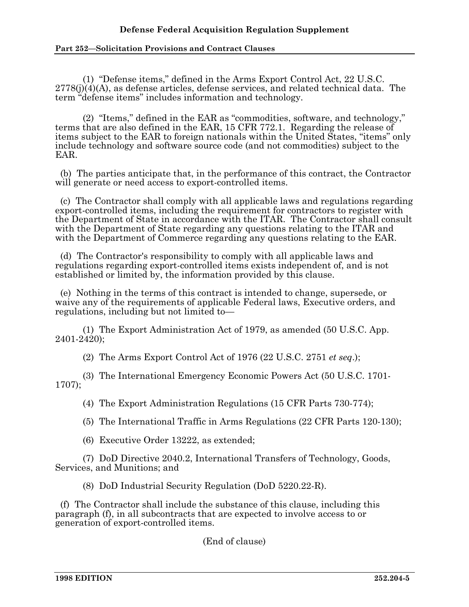# **Defense Federal Acquisition Regulation Supplement**

#### **Part 252—Solicitation Provisions and Contract Clauses**

 (1) "Defense items," defined in the Arms Export Control Act, 22 U.S.C.  $2778(j)(4)(A)$ , as defense articles, defense services, and related technical data. The term "defense items" includes information and technology.

 (2) "Items," defined in the EAR as "commodities, software, and technology," terms that are also defined in the EAR, 15 CFR 772.1. Regarding the release of items subject to the EAR to foreign nationals within the United States, "items" only include technology and software source code (and not commodities) subject to the EAR.

 (b) The parties anticipate that, in the performance of this contract, the Contractor will generate or need access to export-controlled items.

 (c) The Contractor shall comply with all applicable laws and regulations regarding export-controlled items, including the requirement for contractors to register with the Department of State in accordance with the ITAR. The Contractor shall consult with the Department of State regarding any questions relating to the ITAR and with the Department of Commerce regarding any questions relating to the EAR.

 (d) The Contractor's responsibility to comply with all applicable laws and regulations regarding export-controlled items exists independent of, and is not established or limited by, the information provided by this clause.

 (e) Nothing in the terms of this contract is intended to change, supersede, or waive any of the requirements of applicable Federal laws, Executive orders, and regulations, including but not limited to—

(1) The Export Administration Act of 1979, as amended (50 U.S.C. App. 2401-2420);

(2) The Arms Export Control Act of 1976 (22 U.S.C. 2751 *et seq*.);

(3) The International Emergency Economic Powers Act (50 U.S.C. 1701- 1707);

(4) The Export Administration Regulations (15 CFR Parts 730-774);

(5) The International Traffic in Arms Regulations (22 CFR Parts 120-130);

(6) Executive Order 13222, as extended;

(7) DoD Directive 2040.2, International Transfers of Technology, Goods, Services, and Munitions; and

(8) DoD Industrial Security Regulation (DoD 5220.22-R).

 (f) The Contractor shall include the substance of this clause, including this paragraph (f), in all subcontracts that are expected to involve access to or generation of export-controlled items.

(End of clause)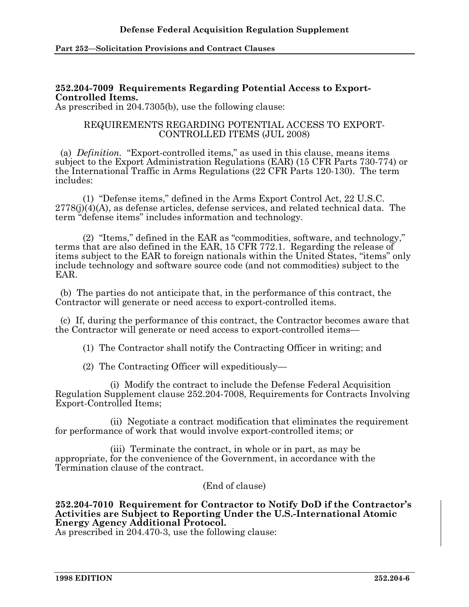# **252.204-7009 Requirements Regarding Potential Access to Export-Controlled Items.**

As prescribed in 204.7305(b), use the following clause:

#### REQUIREMENTS REGARDING POTENTIAL ACCESS TO EXPORT-CONTROLLED ITEMS (JUL 2008)

 (a) *Definition.* "Export-controlled items," as used in this clause, means items subject to the Export Administration Regulations (EAR) (15 CFR Parts 730-774) or the International Traffic in Arms Regulations (22 CFR Parts 120-130). The term includes:

 (1) "Defense items," defined in the Arms Export Control Act, 22 U.S.C.  $2778(i)(4)(A)$ , as defense articles, defense services, and related technical data. The term "defense items" includes information and technology.

 (2) "Items," defined in the EAR as "commodities, software, and technology," terms that are also defined in the EAR, 15 CFR 772.1. Regarding the release of items subject to the EAR to foreign nationals within the United States, "items" only include technology and software source code (and not commodities) subject to the EAR.

 (b) The parties do not anticipate that, in the performance of this contract, the Contractor will generate or need access to export-controlled items.

 (c) If, during the performance of this contract, the Contractor becomes aware that the Contractor will generate or need access to export-controlled items—

(1) The Contractor shall notify the Contracting Officer in writing; and

(2) The Contracting Officer will expeditiously—

 (i) Modify the contract to include the Defense Federal Acquisition Regulation Supplement clause 252.204-7008, Requirements for Contracts Involving Export-Controlled Items;

 (ii) Negotiate a contract modification that eliminates the requirement for performance of work that would involve export-controlled items; or

 (iii) Terminate the contract, in whole or in part, as may be appropriate, for the convenience of the Government, in accordance with the Termination clause of the contract.

(End of clause)

## **252.204-7010 Requirement for Contractor to Notify DoD if the Contractor's Activities are Subject to Reporting Under the U.S.-International Atomic Energy Agency Additional Protocol.**

As prescribed in 204.470-3, use the following clause: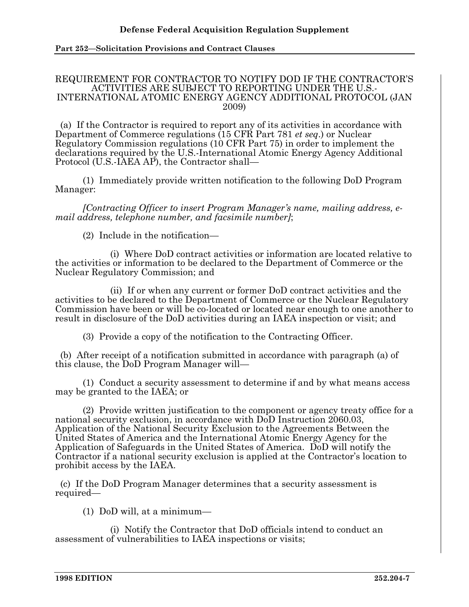#### REQUIREMENT FOR CONTRACTOR TO NOTIFY DOD IF THE CONTRACTOR'S ACTIVITIES ARE SUBJECT TO REPORTING UNDER THE U.S.- INTERNATIONAL ATOMIC ENERGY AGENCY ADDITIONAL PROTOCOL (JAN 2009)

 (a) If the Contractor is required to report any of its activities in accordance with Department of Commerce regulations (15 CFR Part 781 *et seq*.) or Nuclear Regulatory Commission regulations (10 CFR Part 75) in order to implement the declarations required by the U.S.-International Atomic Energy Agency Additional Protocol (U.S.-IAEA AP), the Contractor shall—

(1) Immediately provide written notification to the following DoD Program Manager:

*[Contracting Officer to insert Program Manager's name, mailing address, email address, telephone number, and facsimile number]*;

(2) Include in the notification—

 (i) Where DoD contract activities or information are located relative to the activities or information to be declared to the Department of Commerce or the Nuclear Regulatory Commission; and

 (ii) If or when any current or former DoD contract activities and the activities to be declared to the Department of Commerce or the Nuclear Regulatory Commission have been or will be co-located or located near enough to one another to result in disclosure of the DoD activities during an IAEA inspection or visit; and

(3) Provide a copy of the notification to the Contracting Officer.

 (b) After receipt of a notification submitted in accordance with paragraph (a) of this clause, the DoD Program Manager will—

 (1) Conduct a security assessment to determine if and by what means access may be granted to the IAEA; or

 (2) Provide written justification to the component or agency treaty office for a national security exclusion, in accordance with DoD Instruction 2060.03, Application of the National Security Exclusion to the Agreements Between the United States of America and the International Atomic Energy Agency for the Application of Safeguards in the United States of America. DoD will notify the Contractor if a national security exclusion is applied at the Contractor's location to prohibit access by the IAEA.

 (c) If the DoD Program Manager determines that a security assessment is required—

(1) DoD will, at a minimum—

 (i) Notify the Contractor that DoD officials intend to conduct an assessment of vulnerabilities to IAEA inspections or visits;